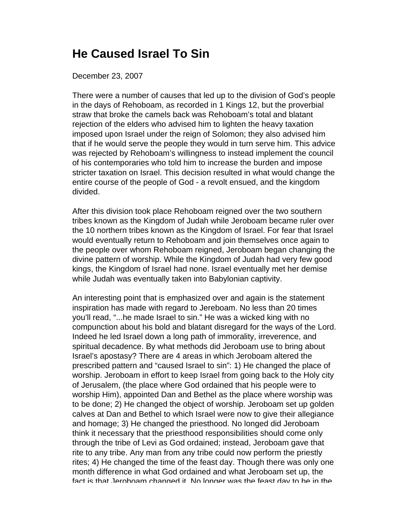## **He Caused Israel To Sin**

## December 23, 2007

There were a number of causes that led up to the division of God's people in the days of Rehoboam, as recorded in 1 Kings 12, but the proverbial straw that broke the camels back was Rehoboam's total and blatant rejection of the elders who advised him to lighten the heavy taxation imposed upon Israel under the reign of Solomon; they also advised him that if he would serve the people they would in turn serve him. This advice was rejected by Rehoboam's willingness to instead implement the council of his contemporaries who told him to increase the burden and impose stricter taxation on Israel. This decision resulted in what would change the entire course of the people of God - a revolt ensued, and the kingdom divided.

After this division took place Rehoboam reigned over the two southern tribes known as the Kingdom of Judah while Jeroboam became ruler over the 10 northern tribes known as the Kingdom of Israel. For fear that Israel would eventually return to Rehoboam and join themselves once again to the people over whom Rehoboam reigned, Jeroboam began changing the divine pattern of worship. While the Kingdom of Judah had very few good kings, the Kingdom of Israel had none. Israel eventually met her demise while Judah was eventually taken into Babylonian captivity.

An interesting point that is emphasized over and again is the statement inspiration has made with regard to Jereboam. No less than 20 times you'll read, "...he made Israel to sin." He was a wicked king with no compunction about his bold and blatant disregard for the ways of the Lord. Indeed he led Israel down a long path of immorality, irreverence, and spiritual decadence. By what methods did Jeroboam use to bring about Israel's apostasy? There are 4 areas in which Jeroboam altered the prescribed pattern and "caused Israel to sin": 1) He changed the place of worship. Jeroboam in effort to keep Israel from going back to the Holy city of Jerusalem, (the place where God ordained that his people were to worship Him), appointed Dan and Bethel as the place where worship was to be done; 2) He changed the object of worship. Jeroboam set up golden calves at Dan and Bethel to which Israel were now to give their allegiance and homage; 3) He changed the priesthood. No longed did Jeroboam think it necessary that the priesthood responsibilities should come only through the tribe of Levi as God ordained; instead, Jeroboam gave that rite to any tribe. Any man from any tribe could now perform the priestly rites; 4) He changed the time of the feast day. Though there was only one month difference in what God ordained and what Jeroboam set up, the fact is that Jeroboam changed it. No longer was the feast day to be in the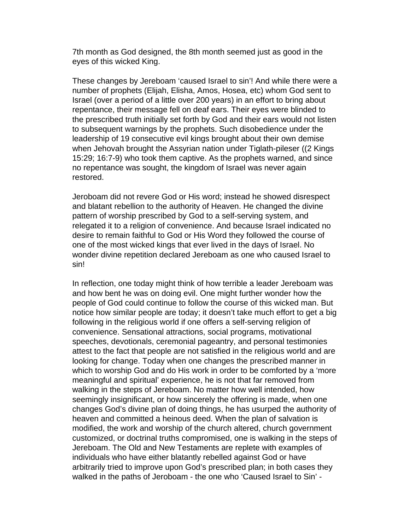7th month as God designed, the 8th month seemed just as good in the eyes of this wicked King.

These changes by Jereboam 'caused Israel to sin'! And while there were a number of prophets (Elijah, Elisha, Amos, Hosea, etc) whom God sent to Israel (over a period of a little over 200 years) in an effort to bring about repentance, their message fell on deaf ears. Their eyes were blinded to the prescribed truth initially set forth by God and their ears would not listen to subsequent warnings by the prophets. Such disobedience under the leadership of 19 consecutive evil kings brought about their own demise when Jehovah brought the Assyrian nation under Tiglath-pileser ((2 Kings 15:29; 16:7-9) who took them captive. As the prophets warned, and since no repentance was sought, the kingdom of Israel was never again restored.

Jeroboam did not revere God or His word; instead he showed disrespect and blatant rebellion to the authority of Heaven. He changed the divine pattern of worship prescribed by God to a self-serving system, and relegated it to a religion of convenience. And because Israel indicated no desire to remain faithful to God or His Word they followed the course of one of the most wicked kings that ever lived in the days of Israel. No wonder divine repetition declared Jereboam as one who caused Israel to sin!

In reflection, one today might think of how terrible a leader Jereboam was and how bent he was on doing evil. One might further wonder how the people of God could continue to follow the course of this wicked man. But notice how similar people are today; it doesn't take much effort to get a big following in the religious world if one offers a self-serving religion of convenience. Sensational attractions, social programs, motivational speeches, devotionals, ceremonial pageantry, and personal testimonies attest to the fact that people are not satisfied in the religious world and are looking for change. Today when one changes the prescribed manner in which to worship God and do His work in order to be comforted by a 'more meaningful and spiritual' experience, he is not that far removed from walking in the steps of Jereboam. No matter how well intended, how seemingly insignificant, or how sincerely the offering is made, when one changes God's divine plan of doing things, he has usurped the authority of heaven and committed a heinous deed. When the plan of salvation is modified, the work and worship of the church altered, church government customized, or doctrinal truths compromised, one is walking in the steps of Jereboam. The Old and New Testaments are replete with examples of individuals who have either blatantly rebelled against God or have arbitrarily tried to improve upon God's prescribed plan; in both cases they walked in the paths of Jeroboam - the one who 'Caused Israel to Sin' -